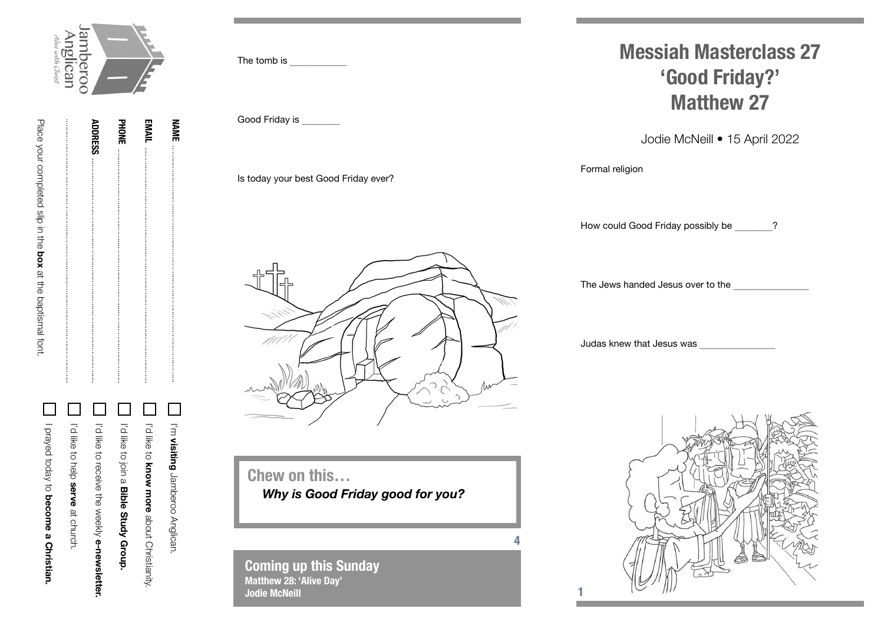

**ADDRESS**

**PHONE**

**EMAIL**

**NAME**

I'm

 $\mathcal{L}_{\mathcal{A}}$ 

**visiting**

Jamberoo Anglican.

**ADDRESS** Place your completed slip in the box at the baptismal fort. Place your completed slip in the **box** at the baptismal font.

| I prayed today to become a Christian. | in the to help serve at christing. | in the selection developmental individuals | In the to join a <b>Bible Strady Group.</b> | I'd like to <b>know Hore</b> about Orristianity. |  |
|---------------------------------------|------------------------------------|--------------------------------------------|---------------------------------------------|--------------------------------------------------|--|

The tomb is

Good Friday is \_\_\_\_

Is today your best Good Friday ever?

## **Messiah Masterclass 27 'Good Friday?' Matthew 27**

Jodie McNeill • 15 April 2022

Formal religion

How could Good Friday possibly be \_\_\_\_ ?

The Jews handed Jesus over to the

Judas knew that Jesus was \_\_\_\_\_\_\_\_





**Chew on this…** *Why is Good Friday good for you?*

**4**

**1**

**Coming up this Sunday Matthew 28: 'Alive Day' Jodie McNeill**